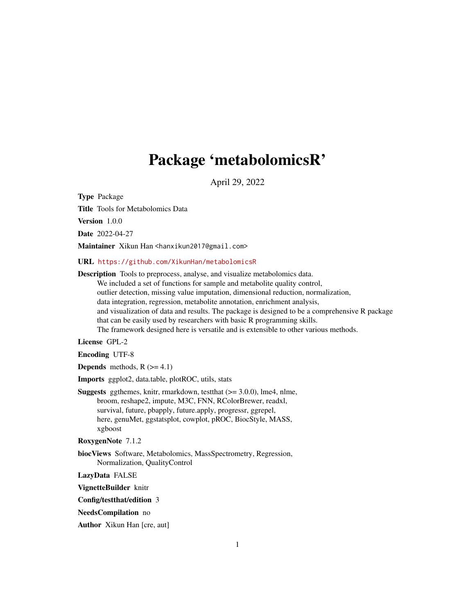# Package 'metabolomicsR'

April 29, 2022

<span id="page-0-0"></span>Type Package

Title Tools for Metabolomics Data

Version 1.0.0

Date 2022-04-27

Maintainer Xikun Han <hanxikun2017@gmail.com>

URL <https://github.com/XikunHan/metabolomicsR>

Description Tools to preprocess, analyse, and visualize metabolomics data. We included a set of functions for sample and metabolite quality control, outlier detection, missing value imputation, dimensional reduction, normalization, data integration, regression, metabolite annotation, enrichment analysis, and visualization of data and results. The package is designed to be a comprehensive R package that can be easily used by researchers with basic R programming skills. The framework designed here is versatile and is extensible to other various methods.

License GPL-2

Encoding UTF-8

**Depends** methods,  $R$  ( $>= 4.1$ )

Imports ggplot2, data.table, plotROC, utils, stats

Suggests ggthemes, knitr, rmarkdown, testthat (>= 3.0.0), lme4, nlme, broom, reshape2, impute, M3C, FNN, RColorBrewer, readxl, survival, future, pbapply, future.apply, progressr, ggrepel, here, genuMet, ggstatsplot, cowplot, pROC, BiocStyle, MASS, xgboost

RoxygenNote 7.1.2

biocViews Software, Metabolomics, MassSpectrometry, Regression, Normalization, QualityControl

LazyData FALSE

VignetteBuilder knitr

Config/testthat/edition 3

NeedsCompilation no

Author Xikun Han [cre, aut]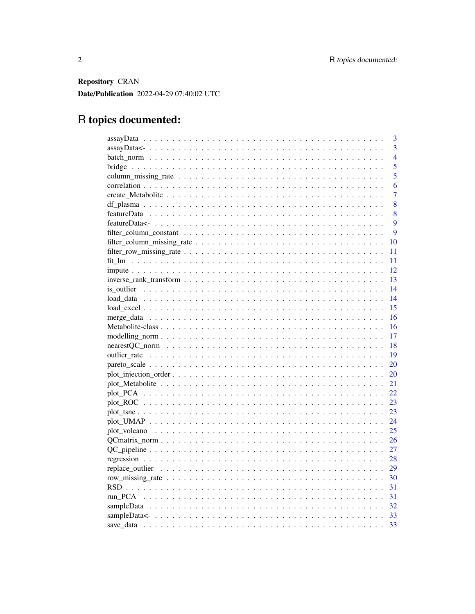Repository CRAN Date/Publication 2022-04-29 07:40:02 UTC

# R topics documented:

| 3              |
|----------------|
| $\overline{3}$ |
| $\overline{4}$ |
| 5              |
| 5              |
| 6              |
| $\overline{7}$ |
| 8              |
| 8              |
| 9              |
| 9              |
| 10             |
| 11             |
| 11             |
| 12             |
| 13             |
| 14             |
| 14             |
| 15             |
| 16             |
| 16             |
| 17             |
| 18             |
| 19             |
| 20             |
| 20             |
| 21             |
| 22             |
| 23             |
| 23             |
| 24             |
| 25             |
| 26             |
| 27             |
| 28             |
| 29             |
|                |
|                |
|                |
|                |
|                |
| 33             |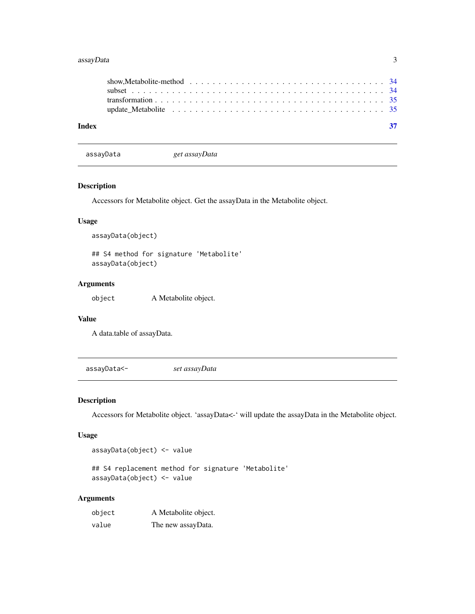#### <span id="page-2-0"></span>assayData 3

assayData *get assayData*

### Description

Accessors for Metabolite object. Get the assayData in the Metabolite object.

#### Usage

assayData(object)

## S4 method for signature 'Metabolite' assayData(object)

#### Arguments

object A Metabolite object.

#### Value

A data.table of assayData.

assayData<- *set assayData*

#### Description

Accessors for Metabolite object. 'assayData<-' will update the assayData in the Metabolite object.

#### Usage

assayData(object) <- value

## S4 replacement method for signature 'Metabolite' assayData(object) <- value

#### Arguments

| object | A Metabolite object. |
|--------|----------------------|
| value  | The new assayData.   |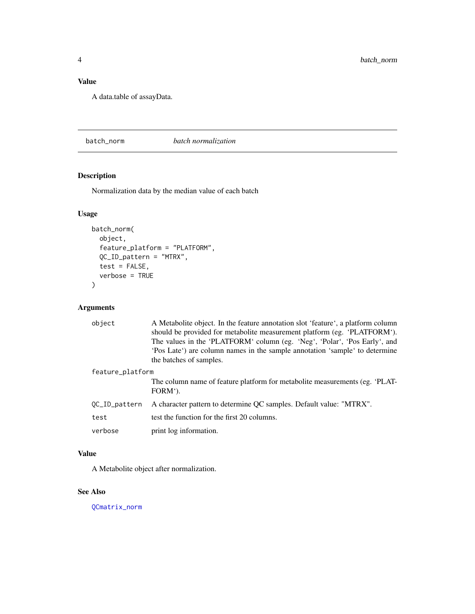# <span id="page-3-0"></span>Value

A data.table of assayData.

<span id="page-3-1"></span>batch\_norm *batch normalization*

# Description

Normalization data by the median value of each batch

# Usage

```
batch_norm(
 object,
  feature_platform = "PLATFORM",
 QC_ID_pattern = "MTRX",
  test = FALSE,
 verbose = TRUE
)
```
# Arguments

| object           | A Metabolite object. In the feature annotation slot 'feature', a platform column<br>should be provided for metabolite measurement platform (eg. 'PLATFORM'). |
|------------------|--------------------------------------------------------------------------------------------------------------------------------------------------------------|
|                  | The values in the 'PLATFORM' column (eg. 'Neg', 'Polar', 'Pos Early', and                                                                                    |
|                  | Pos Late of are column names in the sample annotation 'sample' to determine                                                                                  |
|                  | the batches of samples.                                                                                                                                      |
| feature_platform |                                                                                                                                                              |
|                  | The column name of feature platform for metabolite measurements (eg. 'PLAT-<br>FORM').                                                                       |
| QC_ID_pattern    | A character pattern to determine QC samples. Default value: "MTRX".                                                                                          |
| test             | test the function for the first 20 columns.                                                                                                                  |
| verbose          | print log information.                                                                                                                                       |

# Value

A Metabolite object after normalization.

#### See Also

[QCmatrix\\_norm](#page-25-1)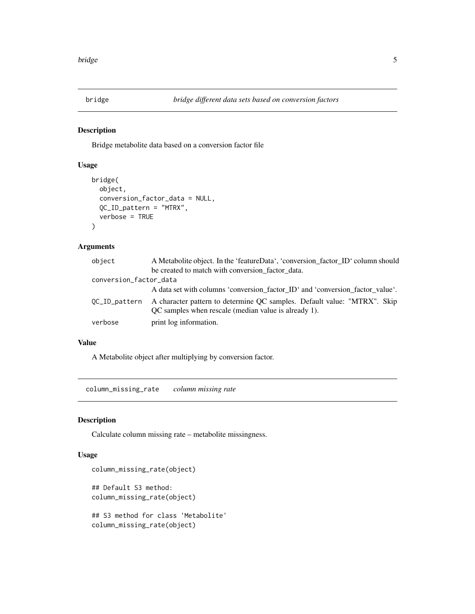<span id="page-4-0"></span>

Bridge metabolite data based on a conversion factor file

#### Usage

```
bridge(
  object,
  conversion_factor_data = NULL,
  QC_ID_pattern = "MTRX",
  verbose = TRUE
\mathcal{E}
```
#### Arguments

| object                 | A Metabolite object. In the 'featureData', 'conversion_factor_ID' column should                                                  |
|------------------------|----------------------------------------------------------------------------------------------------------------------------------|
|                        | be created to match with conversion_factor_data.                                                                                 |
| conversion_factor_data |                                                                                                                                  |
|                        | A data set with columns 'conversion_factor_ID' and 'conversion_factor_value'.                                                    |
| OC_ID_pattern          | A character pattern to determine QC samples. Default value: "MTRX". Skip<br>QC samples when rescale (median value is already 1). |
| verbose                | print log information.                                                                                                           |

#### Value

A Metabolite object after multiplying by conversion factor.

column\_missing\_rate *column missing rate*

#### Description

Calculate column missing rate – metabolite missingness.

#### Usage

```
column_missing_rate(object)
## Default S3 method:
column_missing_rate(object)
## S3 method for class 'Metabolite'
```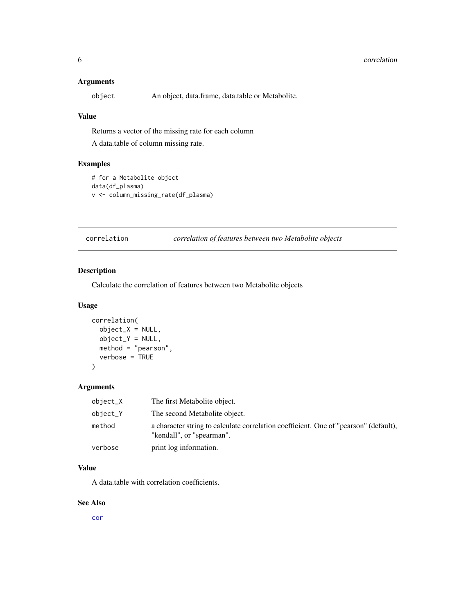#### <span id="page-5-0"></span>Arguments

object An object, data.frame, data.table or Metabolite.

#### Value

Returns a vector of the missing rate for each column

A data.table of column missing rate.

# Examples

```
# for a Metabolite object
data(df_plasma)
v <- column_missing_rate(df_plasma)
```
correlation *correlation of features between two Metabolite objects*

#### Description

Calculate the correlation of features between two Metabolite objects

#### Usage

```
correlation(
 object_X = NULL,object_Y = NULL,
 method = "pearson",
 verbose = TRUE
)
```
#### Arguments

| object_X | The first Metabolite object.                                                                                      |
|----------|-------------------------------------------------------------------------------------------------------------------|
| object_Y | The second Metabolite object.                                                                                     |
| method   | a character string to calculate correlation coefficient. One of "pearson" (default),<br>"kendall", or "spearman". |
| verbose  | print log information.                                                                                            |

#### Value

A data.table with correlation coefficients.

#### See Also

[cor](#page-0-0)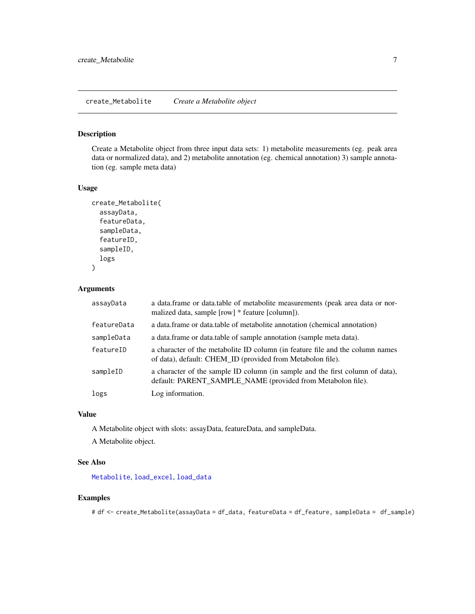<span id="page-6-0"></span>Create a Metabolite object from three input data sets: 1) metabolite measurements (eg. peak area data or normalized data), and 2) metabolite annotation (eg. chemical annotation) 3) sample annotation (eg. sample meta data)

#### Usage

```
create_Metabolite(
  assayData,
  featureData,
  sampleData,
  featureID,
  sampleID,
  logs
)
```
#### Arguments

| assayData   | a data frame or data table of metabolite measurements (peak area data or nor-<br>malized data, sample [row] * feature [column]).             |
|-------------|----------------------------------------------------------------------------------------------------------------------------------------------|
| featureData | a data. frame or data. table of metabolite annotation (chemical annotation)                                                                  |
| sampleData  | a data.frame or data.table of sample annotation (sample meta data).                                                                          |
| featureID   | a character of the metabolite ID column (in feature file and the column names<br>of data), default: CHEM_ID (provided from Metabolon file).  |
| sampleID    | a character of the sample ID column (in sample and the first column of data),<br>default: PARENT SAMPLE NAME (provided from Metabolon file). |
| logs        | Log information.                                                                                                                             |

# Value

A Metabolite object with slots: assayData, featureData, and sampleData. A Metabolite object.

# See Also

[Metabolite](#page-15-1), [load\\_excel](#page-14-1), [load\\_data](#page-13-1)

### Examples

# df <- create\_Metabolite(assayData = df\_data, featureData = df\_feature, sampleData = df\_sample)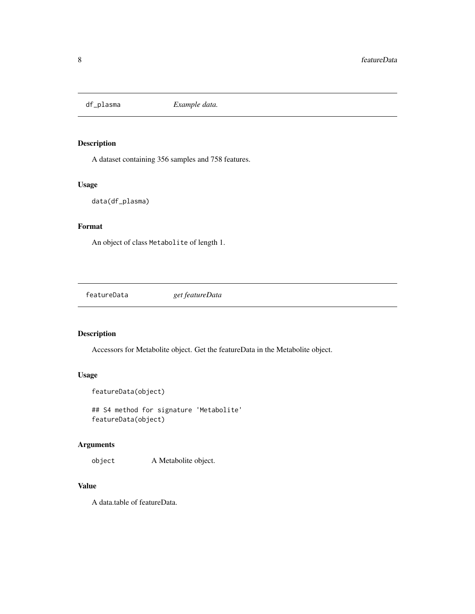<span id="page-7-0"></span>

A dataset containing 356 samples and 758 features.

#### Usage

```
data(df_plasma)
```
# Format

An object of class Metabolite of length 1.

featureData *get featureData*

#### Description

Accessors for Metabolite object. Get the featureData in the Metabolite object.

# Usage

```
featureData(object)
```
## S4 method for signature 'Metabolite' featureData(object)

#### Arguments

object A Metabolite object.

#### Value

A data.table of featureData.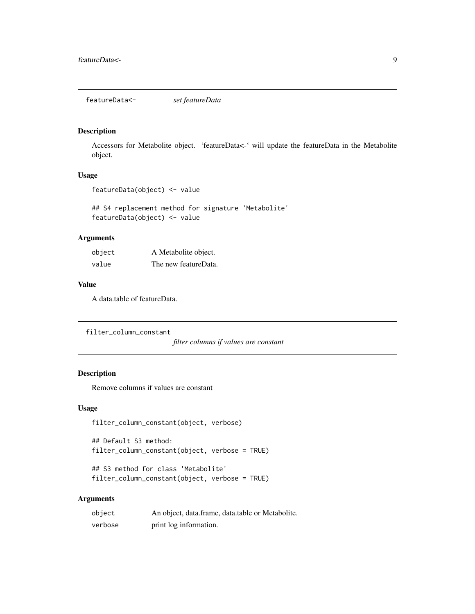<span id="page-8-0"></span>featureData<- *set featureData*

#### Description

Accessors for Metabolite object. 'featureData<-' will update the featureData in the Metabolite object.

#### Usage

```
featureData(object) <- value
```
## S4 replacement method for signature 'Metabolite' featureData(object) <- value

#### Arguments

| object | A Metabolite object. |
|--------|----------------------|
| value  | The new featureData. |

#### Value

A data.table of featureData.

filter\_column\_constant

*filter columns if values are constant*

#### Description

Remove columns if values are constant

#### Usage

```
filter_column_constant(object, verbose)
```
## Default S3 method: filter\_column\_constant(object, verbose = TRUE)

```
## S3 method for class 'Metabolite'
filter_column_constant(object, verbose = TRUE)
```
#### Arguments

| object  | An object, data.frame, data.table or Metabolite. |
|---------|--------------------------------------------------|
| verbose | print log information.                           |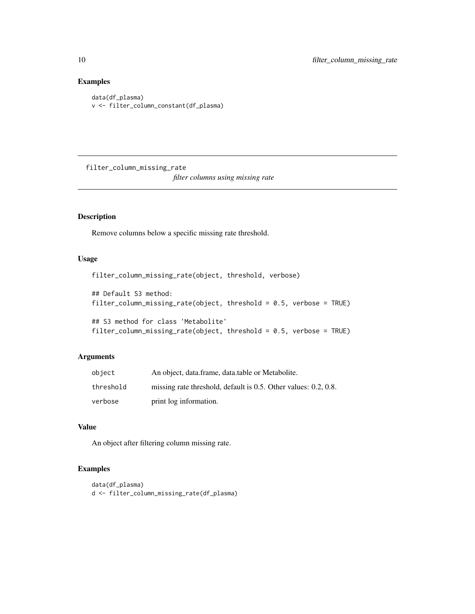## Examples

```
data(df_plasma)
v <- filter_column_constant(df_plasma)
```
filter\_column\_missing\_rate *filter columns using missing rate*

#### Description

Remove columns below a specific missing rate threshold.

#### Usage

filter\_column\_missing\_rate(object, threshold, verbose)

## Default S3 method: filter\_column\_missing\_rate(object, threshold = 0.5, verbose = TRUE)

```
## S3 method for class 'Metabolite'
filter_column_missing_rate(object, threshold = 0.5, verbose = TRUE)
```
#### Arguments

| object    | An object, data.frame, data.table or Metabolite.                |
|-----------|-----------------------------------------------------------------|
| threshold | missing rate threshold, default is 0.5. Other values: 0.2, 0.8. |
| verbose   | print log information.                                          |

#### Value

An object after filtering column missing rate.

#### Examples

```
data(df_plasma)
d <- filter_column_missing_rate(df_plasma)
```
<span id="page-9-0"></span>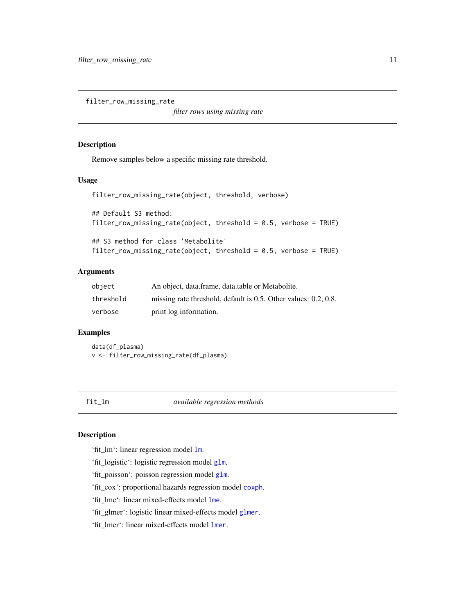<span id="page-10-0"></span>filter\_row\_missing\_rate

*filter rows using missing rate*

#### Description

Remove samples below a specific missing rate threshold.

#### Usage

```
filter_row_missing_rate(object, threshold, verbose)
## Default S3 method:
filter_row_missing_rate(object, threshold = 0.5, verbose = TRUE)
## S3 method for class 'Metabolite'
filter_row_missing_rate(object, threshold = 0.5, verbose = TRUE)
```
# Arguments

| object    | An object, data.frame, data.table or Metabolite.                |
|-----------|-----------------------------------------------------------------|
| threshold | missing rate threshold, default is 0.5. Other values: 0.2, 0.8. |
| verbose   | print log information.                                          |

# Examples

data(df\_plasma) v <- filter\_row\_missing\_rate(df\_plasma)

<span id="page-10-1"></span>fit\_lm *available regression methods*

# Description

'fit\_lm': linear regression model [lm](#page-0-0).

'fit\_logistic': logistic regression model [glm](#page-0-0).

'fit\_poisson': poisson regression model [glm](#page-0-0).

'fit\_cox': proportional hazards regression model [coxph](#page-0-0).

'fit\_lme': linear mixed-effects model [lme](#page-0-0).

'fit\_glmer': logistic linear mixed-effects model [glmer](#page-0-0).

'fit\_lmer': linear mixed-effects model [lmer](#page-0-0).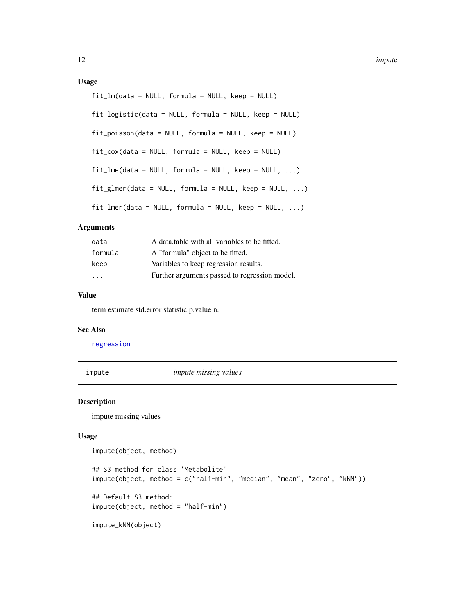#### <span id="page-11-0"></span>Usage

```
fit\_lm(data = NULL, formula = NULL, keep = NULL)fit_logistic(data = NULL, formula = NULL, keep = NULL)
fit_poisson(data = NULL, formula = NULL, keep = NULL)
fit_{\text{cov}}(data = NULL, formula = NULL, keep = NULL)
fitme(data = NULL, formula = NULL, keep = NULL, ...)
fit\_glmer(data = NULL, formula = NULL, keep = NULL, ...)fitlmer(data = NULL, formula = NULL, keep = NULL, ...)
```
#### Arguments

| data    | A data table with all variables to be fitted. |
|---------|-----------------------------------------------|
| formula | A "formula" object to be fitted.              |
| keep    | Variables to keep regression results.         |
| .       | Further arguments passed to regression model. |

#### Value

term estimate std.error statistic p.value n.

#### See Also

[regression](#page-27-1)

impute *impute missing values*

#### Description

impute missing values

#### Usage

```
impute(object, method)
```

```
## S3 method for class 'Metabolite'
impute(object, method = c("half-min", "median", "mean", "zero", "kNN"))
## Default S3 method:
impute(object, method = "half-min")
impute_kNN(object)
```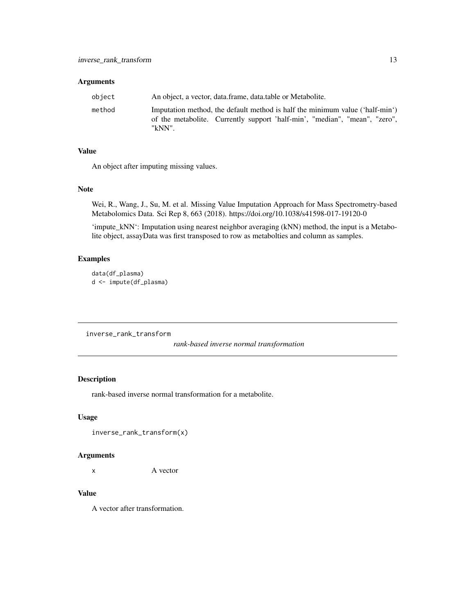#### <span id="page-12-0"></span>Arguments

| obiect | An object, a vector, data.frame, data.table or Metabolite.                                                                                                           |
|--------|----------------------------------------------------------------------------------------------------------------------------------------------------------------------|
| method | Imputation method, the default method is half the minimum value ('half-min')<br>of the metabolite. Currently support 'half-min', "median", "mean", "zero",<br>"kNN". |

#### Value

An object after imputing missing values.

#### Note

Wei, R., Wang, J., Su, M. et al. Missing Value Imputation Approach for Mass Spectrometry-based Metabolomics Data. Sci Rep 8, 663 (2018). https://doi.org/10.1038/s41598-017-19120-0

'impute\_kNN': Imputation using nearest neighbor averaging (kNN) method, the input is a Metabolite object, assayData was first transposed to row as metabolties and column as samples.

# Examples

data(df\_plasma) d <- impute(df\_plasma)

inverse\_rank\_transform

*rank-based inverse normal transformation*

# Description

rank-based inverse normal transformation for a metabolite.

#### Usage

```
inverse_rank_transform(x)
```
#### Arguments

x A vector

#### Value

A vector after transformation.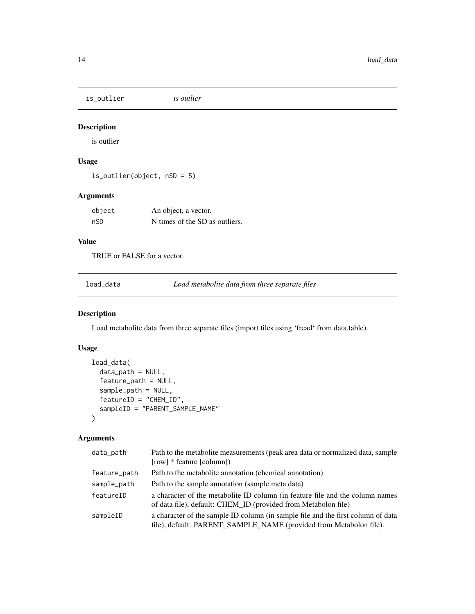<span id="page-13-0"></span>is\_outlier *is outlier*

# Description

is outlier

# Usage

is\_outlier(object, nSD = 5)

### Arguments

| object | An object, a vector.           |
|--------|--------------------------------|
| nSD    | N times of the SD as outliers. |

#### Value

TRUE or FALSE for a vector.

<span id="page-13-1"></span>load\_data *Load metabolite data from three separate files*

#### Description

Load metabolite data from three separate files (import files using 'fread' from data.table).

# Usage

```
load_data(
  data_path = NULL,
  feature_path = NULL,
  sample_path = NULL,
  featureID = "CHEM_ID",
  sampleID = "PARENT_SAMPLE_NAME"
)
```
#### Arguments

| data_path    | Path to the metabolite measurements (peak area data or normalized data, sample<br>[row] * feature [column])                                            |
|--------------|--------------------------------------------------------------------------------------------------------------------------------------------------------|
| feature_path | Path to the metabolite annotation (chemical annotation)                                                                                                |
| sample_path  | Path to the sample annotation (sample meta data)                                                                                                       |
| featureID    | a character of the metabolite ID column (in feature file and the column names<br>of data file), default: CHEM_ID (provided from Metabolon file)        |
| sampleID     | a character of the sample ID column (in sample file and the first column of data<br>file), default: PARENT_SAMPLE_NAME (provided from Metabolon file). |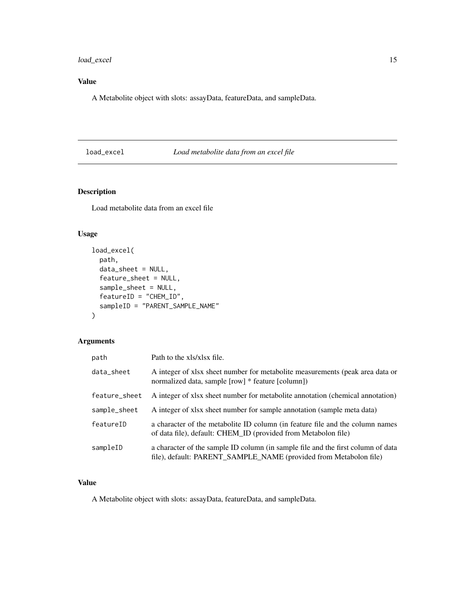<span id="page-14-0"></span>load\_excel 15

# Value

A Metabolite object with slots: assayData, featureData, and sampleData.

# <span id="page-14-1"></span>load\_excel *Load metabolite data from an excel file*

# Description

Load metabolite data from an excel file

# Usage

```
load_excel(
 path,
  data_sheet = NULL,
  feature_sheet = NULL,
  sample_sheet = NULL,
  featureID = "CHEM_ID",
  sampleID = "PARENT_SAMPLE_NAME"
)
```
# Arguments

| path          | Path to the xls/xlsx file.                                                                                                                            |
|---------------|-------------------------------------------------------------------------------------------------------------------------------------------------------|
| data_sheet    | A integer of xlsx sheet number for metabolite measurements (peak area data or<br>normalized data, sample [row] * feature [column])                    |
| feature_sheet | A integer of xlsx sheet number for metabolite annotation (chemical annotation)                                                                        |
| sample_sheet  | A integer of xlsx sheet number for sample annotation (sample meta data)                                                                               |
| featureID     | a character of the metabolite ID column (in feature file and the column names<br>of data file), default: CHEM_ID (provided from Metabolon file)       |
| sampleID      | a character of the sample ID column (in sample file and the first column of data<br>file), default: PARENT_SAMPLE_NAME (provided from Metabolon file) |

#### Value

A Metabolite object with slots: assayData, featureData, and sampleData.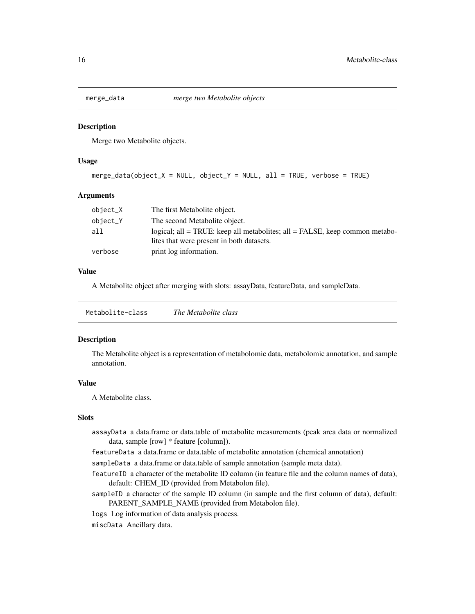<span id="page-15-0"></span>

Merge two Metabolite objects.

#### Usage

```
merge\_data(object_X = NULL, object_Y = NULL, all = TRUE, verbose = TRUE)
```
#### **Arguments**

| object_X | The first Metabolite object.                                                                                             |
|----------|--------------------------------------------------------------------------------------------------------------------------|
| object_Y | The second Metabolite object.                                                                                            |
| all      | logical; all = TRUE: keep all metabolites; all = FALSE, keep common metabo-<br>lites that were present in both datasets. |
| verbose  | print log information.                                                                                                   |

#### Value

A Metabolite object after merging with slots: assayData, featureData, and sampleData.

| Metabolite-class | The Metabolite class |  |
|------------------|----------------------|--|
|                  |                      |  |

#### <span id="page-15-1"></span>Description

The Metabolite object is a representation of metabolomic data, metabolomic annotation, and sample annotation.

#### Value

A Metabolite class.

#### Slots

- assayData a data.frame or data.table of metabolite measurements (peak area data or normalized data, sample [row] \* feature [column]).
- featureData a data.frame or data.table of metabolite annotation (chemical annotation)
- sampleData a data.frame or data.table of sample annotation (sample meta data).
- featureID a character of the metabolite ID column (in feature file and the column names of data), default: CHEM\_ID (provided from Metabolon file).
- sampleID a character of the sample ID column (in sample and the first column of data), default: PARENT\_SAMPLE\_NAME (provided from Metabolon file).
- logs Log information of data analysis process.
- miscData Ancillary data.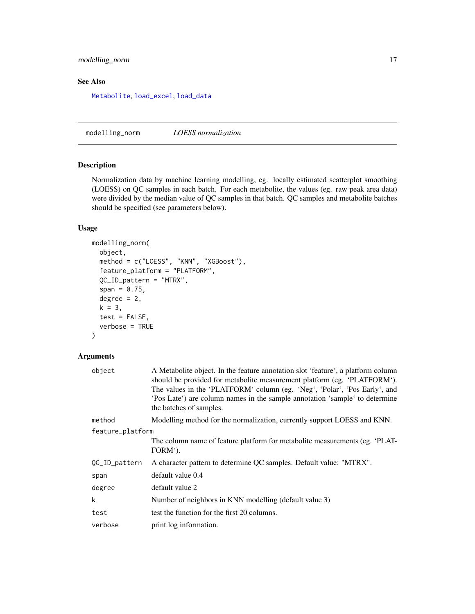#### <span id="page-16-0"></span>modelling\_norm 17

#### See Also

[Metabolite](#page-15-1), [load\\_excel](#page-14-1), [load\\_data](#page-13-1)

modelling\_norm *LOESS normalization*

#### Description

Normalization data by machine learning modelling, eg. locally estimated scatterplot smoothing (LOESS) on QC samples in each batch. For each metabolite, the values (eg. raw peak area data) were divided by the median value of QC samples in that batch. QC samples and metabolite batches should be specified (see parameters below).

#### Usage

```
modelling_norm(
 object,
 method = c("LOESS", "KNN", "XGBoost"),
  feature_platform = "PLATFORM",
 QC_ID_pattern = "MTRX",
  span = 0.75,
  degree = 2,
 k = 3,test = FALSE,verbose = TRUE
```
#### )

#### Arguments

| A Metabolite object. In the feature annotation slot 'feature', a platform column<br>should be provided for metabolite measurement platform (eg. 'PLATFORM').<br>The values in the 'PLATFORM' column (eg. 'Neg', 'Polar', 'Pos Early', and<br>'Pos Late') are column names in the sample annotation 'sample' to determine<br>the batches of samples. |
|-----------------------------------------------------------------------------------------------------------------------------------------------------------------------------------------------------------------------------------------------------------------------------------------------------------------------------------------------------|
| Modelling method for the normalization, currently support LOESS and KNN.                                                                                                                                                                                                                                                                            |
| feature_platform                                                                                                                                                                                                                                                                                                                                    |
| The column name of feature platform for metabolite measurements (eg. 'PLAT-<br>FORM').                                                                                                                                                                                                                                                              |
| A character pattern to determine QC samples. Default value: "MTRX".                                                                                                                                                                                                                                                                                 |
| default value 0.4                                                                                                                                                                                                                                                                                                                                   |
| default value 2                                                                                                                                                                                                                                                                                                                                     |
| Number of neighbors in KNN modelling (default value 3)                                                                                                                                                                                                                                                                                              |
| test the function for the first 20 columns.                                                                                                                                                                                                                                                                                                         |
| print log information.                                                                                                                                                                                                                                                                                                                              |
|                                                                                                                                                                                                                                                                                                                                                     |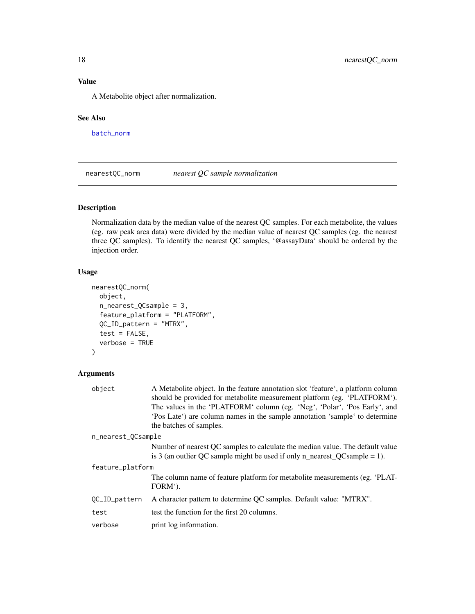# <span id="page-17-0"></span>Value

A Metabolite object after normalization.

#### See Also

[batch\\_norm](#page-3-1)

nearestQC\_norm *nearest QC sample normalization*

# Description

Normalization data by the median value of the nearest QC samples. For each metabolite, the values (eg. raw peak area data) were divided by the median value of nearest QC samples (eg. the nearest three QC samples). To identify the nearest QC samples, '@assayData' should be ordered by the injection order.

#### Usage

```
nearestQC_norm(
  object,
  n_nearest_QCsample = 3,
  feature_platform = "PLATFORM",
  QC_ID_pattern = "MTRX",
  test = FALSE,
  verbose = TRUE
)
```
#### Arguments

| object             | A Metabolite object. In the feature annotation slot 'feature', a platform column<br>should be provided for metabolite measurement platform (eg. 'PLATFORM').<br>The values in the 'PLATFORM' column (eg. 'Neg', 'Polar', 'Pos Early', and<br>'Pos Late') are column names in the sample annotation 'sample' to determine<br>the batches of samples. |
|--------------------|-----------------------------------------------------------------------------------------------------------------------------------------------------------------------------------------------------------------------------------------------------------------------------------------------------------------------------------------------------|
| n_nearest_QCsample |                                                                                                                                                                                                                                                                                                                                                     |
|                    | Number of nearest QC samples to calculate the median value. The default value                                                                                                                                                                                                                                                                       |
|                    | is 3 (an outlier QC sample might be used if only n_nearest_QCsample = 1).                                                                                                                                                                                                                                                                           |
| feature_platform   |                                                                                                                                                                                                                                                                                                                                                     |
|                    | The column name of feature platform for metabolite measurements (eg. 'PLAT-<br>FORM').                                                                                                                                                                                                                                                              |
| QC_ID_pattern      | A character pattern to determine QC samples. Default value: "MTRX".                                                                                                                                                                                                                                                                                 |
| test               | test the function for the first 20 columns.                                                                                                                                                                                                                                                                                                         |
| verbose            | print log information.                                                                                                                                                                                                                                                                                                                              |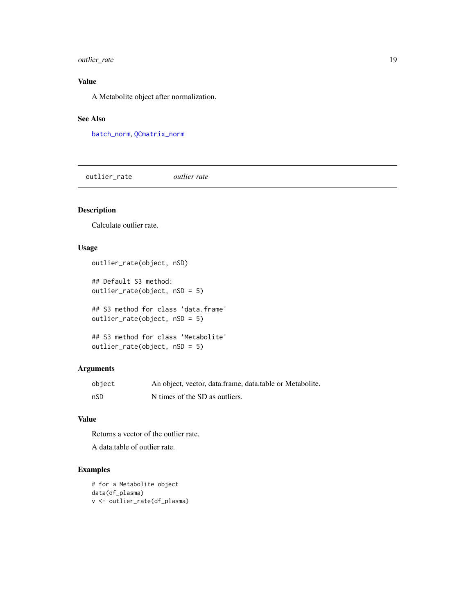#### <span id="page-18-0"></span>outlier\_rate 19

# Value

A Metabolite object after normalization.

### See Also

[batch\\_norm](#page-3-1), [QCmatrix\\_norm](#page-25-1)

outlier\_rate *outlier rate*

# Description

Calculate outlier rate.

#### Usage

```
outlier_rate(object, nSD)
```
## Default S3 method: outlier\_rate(object, nSD = 5)

## S3 method for class 'data.frame' outlier\_rate(object, nSD = 5)

## S3 method for class 'Metabolite' outlier\_rate(object, nSD = 5)

#### Arguments

| object | An object, vector, data.frame, data.table or Metabolite. |
|--------|----------------------------------------------------------|
| nSD    | N times of the SD as outliers.                           |

#### Value

Returns a vector of the outlier rate.

A data.table of outlier rate.

#### Examples

```
# for a Metabolite object
data(df_plasma)
v <- outlier_rate(df_plasma)
```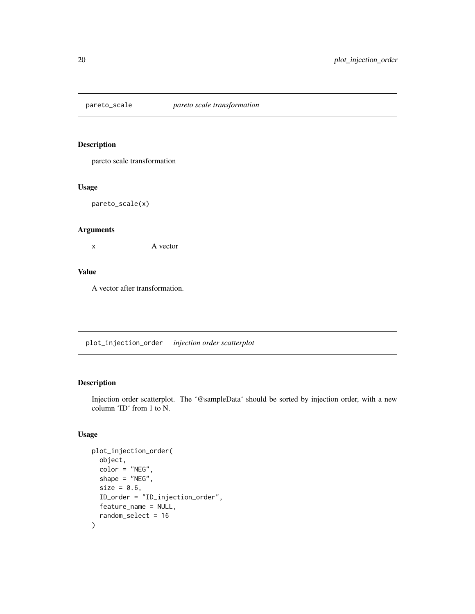<span id="page-19-0"></span>

pareto scale transformation

#### Usage

pareto\_scale(x)

#### Arguments

x A vector

#### Value

A vector after transformation.

plot\_injection\_order *injection order scatterplot*

#### Description

Injection order scatterplot. The '@sampleData' should be sorted by injection order, with a new column 'ID' from 1 to N.

#### Usage

```
plot_injection_order(
  object,
  color = "NEG",
  shape = "NEG",
  size = 0.6,
  ID_order = "ID_injection_order",
 feature_name = NULL,
  random_select = 16
\mathcal{E}
```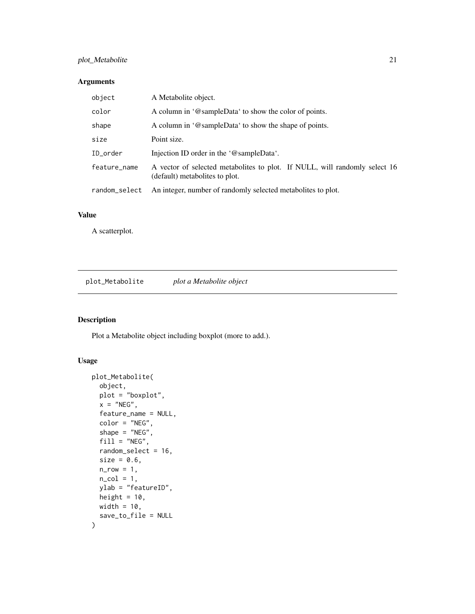#### <span id="page-20-0"></span>plot\_Metabolite 21

#### Arguments

| object        | A Metabolite object.                                                                                         |
|---------------|--------------------------------------------------------------------------------------------------------------|
| color         | A column in '@sampleData' to show the color of points.                                                       |
| shape         | A column in '@sampleData' to show the shape of points.                                                       |
| size          | Point size.                                                                                                  |
| ID_order      | Injection ID order in the '@sampleData'.                                                                     |
| feature_name  | A vector of selected metabolites to plot. If NULL, will randomly select 16<br>(default) metabolites to plot. |
| random_select | An integer, number of randomly selected metabolites to plot.                                                 |

#### Value

A scatterplot.

plot\_Metabolite *plot a Metabolite object*

# Description

Plot a Metabolite object including boxplot (more to add.).

#### Usage

```
plot_Metabolite(
  object,
 plot = "boxplot",
 x = "NEG",feature_name = NULL,
  color = "NEG",
  shape = "NEG",
 fill = "NEG",random_select = 16,
  size = 0.6,
  n_{r}row = 1,
 n_{col} = 1,
 ylab = "featureID",
 height = 10,
 width = 10,
  save_to_file = NULL
\mathcal{E}
```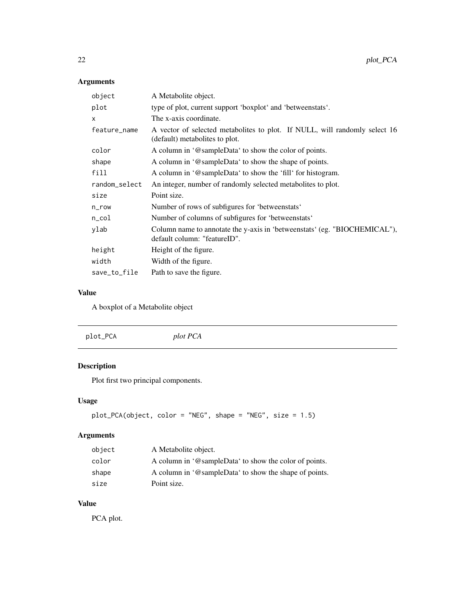# <span id="page-21-0"></span>Arguments

| object        | A Metabolite object.                                                                                         |
|---------------|--------------------------------------------------------------------------------------------------------------|
| plot          | type of plot, current support 'boxplot' and 'betweenstats'.                                                  |
| X             | The x-axis coordinate.                                                                                       |
| feature_name  | A vector of selected metabolites to plot. If NULL, will randomly select 16<br>(default) metabolites to plot. |
| color         | A column in '@sampleData' to show the color of points.                                                       |
| shape         | A column in '@sampleData' to show the shape of points.                                                       |
| fill          | A column in '@sampleData' to show the 'fill' for histogram.                                                  |
| random_select | An integer, number of randomly selected metabolites to plot.                                                 |
| size          | Point size.                                                                                                  |
| n_row         | Number of rows of subfigures for 'between stats'                                                             |
| n_col         | Number of columns of subfigures for 'betweenstats'                                                           |
| ylab          | Column name to annotate the y-axis in 'betweenstats' (eg. "BIOCHEMICAL"),<br>default column: "featureID".    |
| height        | Height of the figure.                                                                                        |
| width         | Width of the figure.                                                                                         |
| save_to_file  | Path to save the figure.                                                                                     |

# Value

A boxplot of a Metabolite object

|--|

# Description

Plot first two principal components.

# Usage

```
plot_PCA(object, color = "NEG", shape = "NEG", size = 1.5)
```
# Arguments

| object | A Metabolite object.                                   |
|--------|--------------------------------------------------------|
| color  | A column in '@sampleData' to show the color of points. |
| shape  | A column in '@sampleData' to show the shape of points. |
| size   | Point size.                                            |

# Value

PCA plot.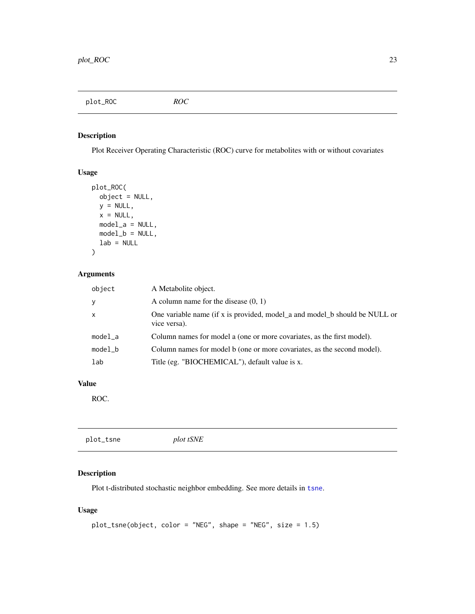<span id="page-22-0"></span>plot\_ROC *ROC*

#### Description

Plot Receiver Operating Characteristic (ROC) curve for metabolites with or without covariates

#### Usage

```
plot_ROC(
  object = NULL,y = NULL,x = NULL,model_a = NULL,model_b = NULL,lab = NULL\mathcal{E}
```
#### Arguments

| object       | A Metabolite object.                                                                       |
|--------------|--------------------------------------------------------------------------------------------|
| <b>y</b>     | A column name for the disease $(0, 1)$                                                     |
| $\mathsf{x}$ | One variable name (if x is provided, model_a and model_b should be NULL or<br>vice versa). |
| $model_a$    | Column names for model a (one or more covariates, as the first model).                     |
| $model_b$    | Column names for model b (one or more covariates, as the second model).                    |
| lab          | Title (eg. "BIOCHEMICAL"), default value is x.                                             |

# Value

ROC.

#### Description

Plot t-distributed stochastic neighbor embedding. See more details in [tsne](#page-0-0).

#### Usage

```
plot_tsne(object, color = "NEG", shape = "NEG", size = 1.5)
```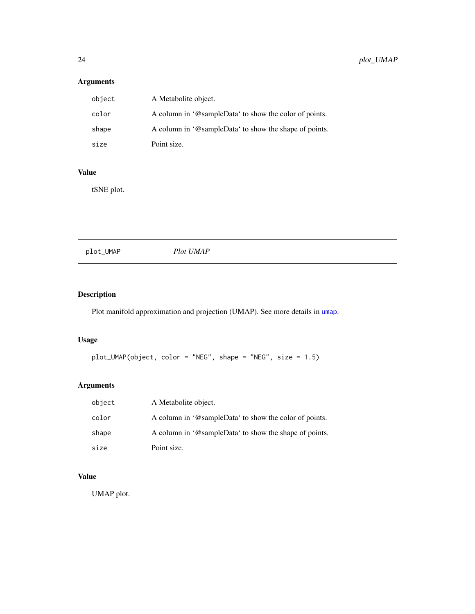# <span id="page-23-0"></span>Arguments

| object | A Metabolite object.                                   |
|--------|--------------------------------------------------------|
| color  | A column in '@sampleData' to show the color of points. |
| shape  | A column in '@sampleData' to show the shape of points. |
| size   | Point size.                                            |

# Value

tSNE plot.

| Plot UMAP |  |  |
|-----------|--|--|
|           |  |  |

# Description

Plot manifold approximation and projection (UMAP). See more details in [umap](#page-0-0).

#### Usage

```
plot_UMAP(object, color = "NEG", shape = "NEG", size = 1.5)
```
# Arguments

| object | A Metabolite object.                                   |
|--------|--------------------------------------------------------|
| color  | A column in '@sampleData' to show the color of points. |
| shape  | A column in '@sampleData' to show the shape of points. |
| size   | Point size.                                            |

# Value

UMAP plot.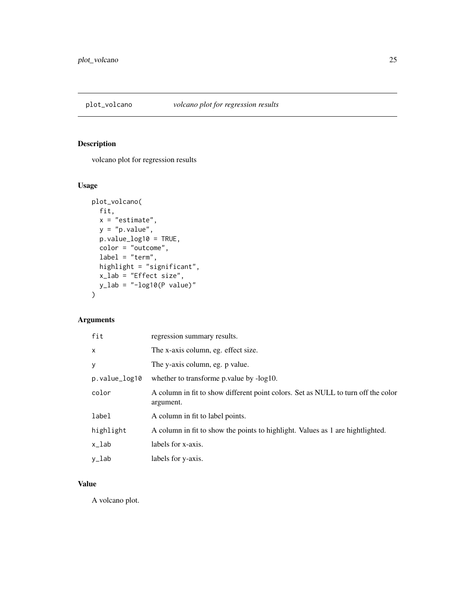<span id="page-24-0"></span>

volcano plot for regression results

# Usage

```
plot_volcano(
  fit,
  x = "estimate",y = "p.value",
  p.value_log10 = TRUE,
  color = "outcome",
  label = "term",
  highlight = "significant",
  x_lab = "Effect size",
 y<sup>-</sup>lab = "-log10(P value)"
\overline{\phantom{a}}
```
# Arguments

| fit           | regression summary results.                                                                    |
|---------------|------------------------------------------------------------------------------------------------|
| $\mathsf{x}$  | The x-axis column, eg. effect size.                                                            |
| y             | The y-axis column, eg. p value.                                                                |
| p.value_log10 | whether to transforme p.value by -log10.                                                       |
| color         | A column in fit to show different point colors. Set as NULL to turn off the color<br>argument. |
| label         | A column in fit to label points.                                                               |
| highlight     | A column in fit to show the points to highlight. Values as 1 are hightlighted.                 |
| x_lab         | labels for x-axis.                                                                             |
| y_lab         | labels for y-axis.                                                                             |

# Value

A volcano plot.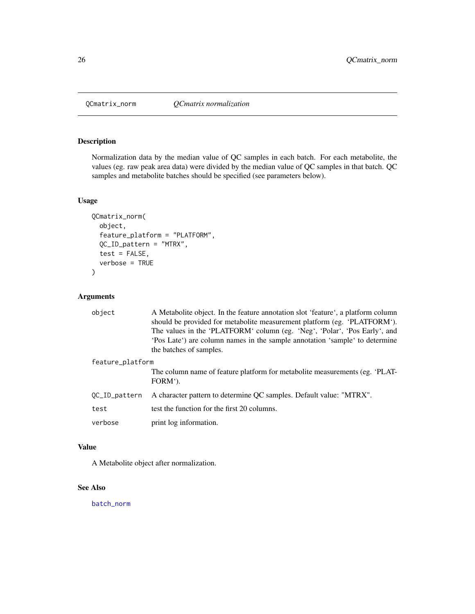<span id="page-25-1"></span><span id="page-25-0"></span>

Normalization data by the median value of QC samples in each batch. For each metabolite, the values (eg. raw peak area data) were divided by the median value of QC samples in that batch. QC samples and metabolite batches should be specified (see parameters below).

#### Usage

```
QCmatrix_norm(
 object,
  feature_platform = "PLATFORM",
 QC_ID_pattern = "MTRX",
  test = FALSE,
  verbose = TRUE
)
```
#### Arguments

| object           | A Metabolite object. In the feature annotation slot 'feature', a platform column<br>should be provided for metabolite measurement platform (eg. 'PLATFORM').<br>The values in the 'PLATFORM' column (eg. 'Neg', 'Polar', 'Pos Early', and<br>Pos Late <sup>*</sup> ) are column names in the sample annotation "sample" to determine<br>the batches of samples. |
|------------------|-----------------------------------------------------------------------------------------------------------------------------------------------------------------------------------------------------------------------------------------------------------------------------------------------------------------------------------------------------------------|
| feature_platform |                                                                                                                                                                                                                                                                                                                                                                 |
|                  | The column name of feature platform for metabolite measurements (eg. 'PLAT-<br>FORM').                                                                                                                                                                                                                                                                          |
| OC_ID_pattern    | A character pattern to determine QC samples. Default value: "MTRX".                                                                                                                                                                                                                                                                                             |
| test             | test the function for the first 20 columns.                                                                                                                                                                                                                                                                                                                     |
| verbose          | print log information.                                                                                                                                                                                                                                                                                                                                          |

#### Value

A Metabolite object after normalization.

#### See Also

[batch\\_norm](#page-3-1)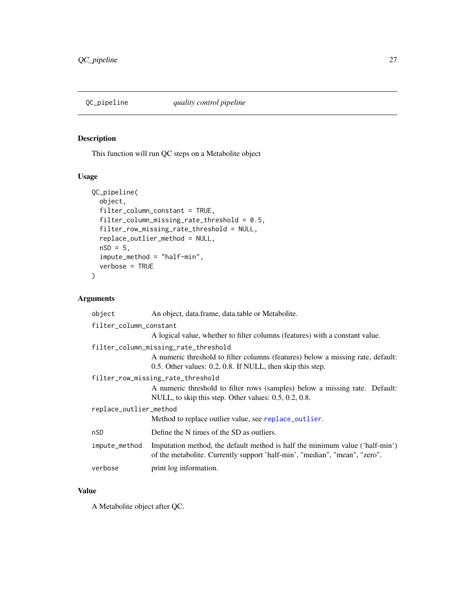<span id="page-26-0"></span>

This function will run QC steps on a Metabolite object

### Usage

```
QC_pipeline(
 object,
  filter_column_constant = TRUE,
 filter_column_missing_rate_threshold = 0.5,
  filter_row_missing_rate_threshold = NULL,
  replace_outlier_method = NULL,
 nSD = 5,
  impute_method = "half-min",
 verbose = TRUE
)
```
# Arguments

| object                 | An object, data.frame, data.table or Metabolite.                                                                                                                                      |  |
|------------------------|---------------------------------------------------------------------------------------------------------------------------------------------------------------------------------------|--|
| filter_column_constant |                                                                                                                                                                                       |  |
|                        | A logical value, whether to filter columns (features) with a constant value.                                                                                                          |  |
|                        | filter_column_missing_rate_threshold<br>A numeric threshold to filter columns (features) below a missing rate, default:<br>0.5. Other values: 0.2, 0.8. If NULL, then skip this step. |  |
|                        | filter_row_missing_rate_threshold                                                                                                                                                     |  |
|                        | A numeric threshold to filter rows (samples) below a missing rate. Default:<br>NULL, to skip this step. Other values: 0.5, 0.2, 0.8.                                                  |  |
| replace_outlier_method |                                                                                                                                                                                       |  |
|                        | Method to replace outlier value, see replace_outlier.                                                                                                                                 |  |
| nSD                    | Define the N times of the SD as outliers.                                                                                                                                             |  |
| impute_method          | Imputation method, the default method is half the minimum value ('half-min')<br>of the metabolite. Currently support 'half-min', "median", "mean", "zero".                            |  |
| verbose                | print log information.                                                                                                                                                                |  |

# Value

A Metabolite object after QC.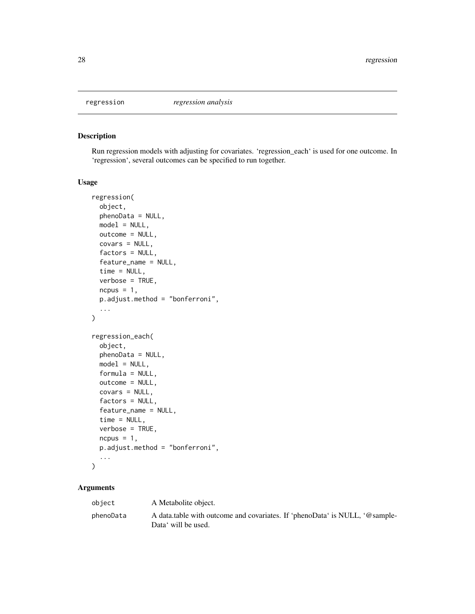<span id="page-27-1"></span><span id="page-27-0"></span>

Run regression models with adjusting for covariates. 'regression\_each' is used for one outcome. In 'regression', several outcomes can be specified to run together.

#### Usage

```
regression(
 object,
 phenoData = NULL,
 model = NULL,outcome = NULL,
 covars = NULL,factors = NULL,
  feature_name = NULL,
  time = NULL,
 verbose = TRUE,
 ncpus = 1,p.adjust.method = "bonferroni",
  ...
)
regression_each(
 object,
 phenoData = NULL,
 model = NULL,
 formula = NULL,
 outcome = NULL,
 covars = NULL,
  factors = NULL,
  feature_name = NULL,
  time = NULL,
 verbose = TRUE,
 ncpus = 1,
 p.adjust.method = "bonferroni",
  ...
)
```
#### Arguments

| object    | A Metabolite object.                                                                               |
|-----------|----------------------------------------------------------------------------------------------------|
| phenoData | A data table with outcome and covariates. If 'phenoData' is NULL, '@sample-<br>Data' will be used. |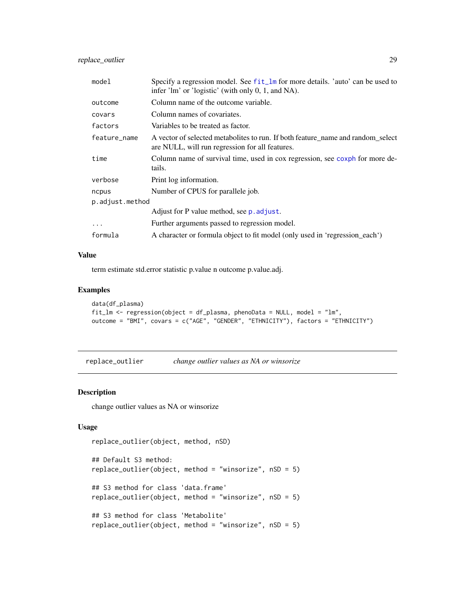<span id="page-28-0"></span>replace\_outlier 29

| Specify a regression model. See fit_lm for more details. 'auto' can be used to<br>infer $\text{'lm'}$ or $\text{'logistic'}$ (with only 0, 1, and NA). |
|--------------------------------------------------------------------------------------------------------------------------------------------------------|
| Column name of the outcome variable.                                                                                                                   |
| Column names of covariates.                                                                                                                            |
| Variables to be treated as factor.                                                                                                                     |
| A vector of selected metabolites to run. If both feature_name and random_select<br>are NULL, will run regression for all features.                     |
| Column name of survival time, used in cox regression, see coxph for more de-<br>tails.                                                                 |
| Print log information.                                                                                                                                 |
| Number of CPUS for parallele job.                                                                                                                      |
| p.adjust.method                                                                                                                                        |
| Adjust for P value method, see p. adjust.                                                                                                              |
| Further arguments passed to regression model.                                                                                                          |
| A character or formula object to fit model (only used in 'regression_each')                                                                            |
|                                                                                                                                                        |

#### Value

term estimate std.error statistic p.value n outcome p.value.adj.

#### Examples

```
data(df_plasma)
fit_lm <- regression(object = df_plasma, phenoData = NULL, model = "lm",
outcome = "BMI", covars = c("AGE", "GENDER", "ETHNICITY"), factors = "ETHNICITY")
```
<span id="page-28-1"></span>replace\_outlier *change outlier values as NA or winsorize*

#### Description

change outlier values as NA or winsorize

#### Usage

```
replace_outlier(object, method, nSD)
```

```
## Default S3 method:
replace_outlier(object, method = "winsorize", nSD = 5)
## S3 method for class 'data.frame'
replace_outlier(object, method = "winsorize", nSD = 5)
## S3 method for class 'Metabolite'
replace_outlier(object, method = "winsorize", nSD = 5)
```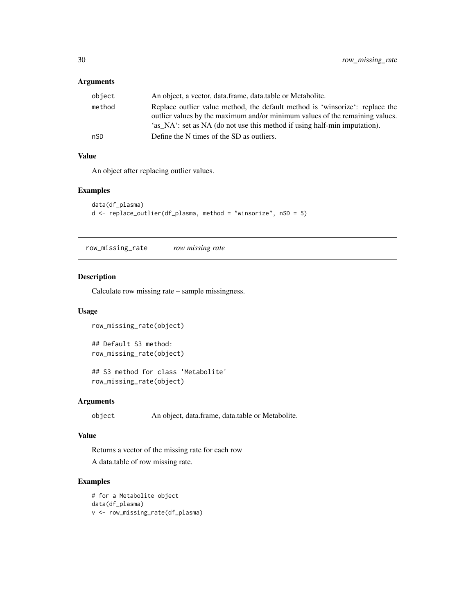## <span id="page-29-0"></span>Arguments

| object | An object, a vector, data.frame, data.table or Metabolite.                                                                                                                                                                                |
|--------|-------------------------------------------------------------------------------------------------------------------------------------------------------------------------------------------------------------------------------------------|
| method | Replace outlier value method, the default method is 'winsorize': replace the<br>outlier values by the maximum and/or minimum values of the remaining values.<br>'as NA': set as NA (do not use this method if using half-min imputation). |
| nSD    | Define the N times of the SD as outliers.                                                                                                                                                                                                 |

#### Value

An object after replacing outlier values.

#### Examples

```
data(df_plasma)
d <- replace_outlier(df_plasma, method = "winsorize", nSD = 5)
```
row\_missing\_rate *row missing rate*

#### Description

Calculate row missing rate – sample missingness.

#### Usage

```
row_missing_rate(object)
```
## Default S3 method: row\_missing\_rate(object)

## S3 method for class 'Metabolite' row\_missing\_rate(object)

#### Arguments

object An object, data.frame, data.table or Metabolite.

#### Value

Returns a vector of the missing rate for each row

A data.table of row missing rate.

# Examples

```
# for a Metabolite object
data(df_plasma)
v <- row_missing_rate(df_plasma)
```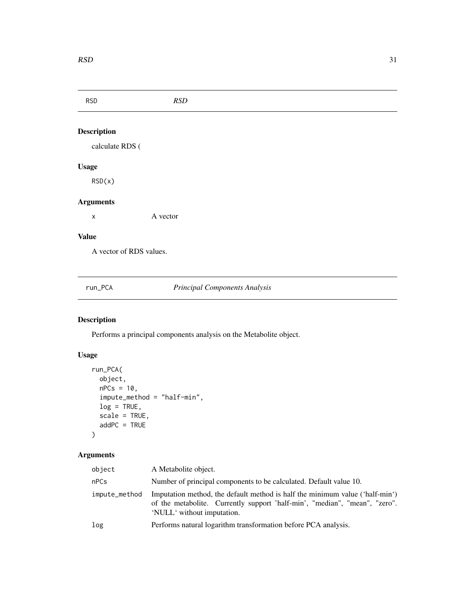<span id="page-30-0"></span>RSD *RSD* Description calculate RDS ( Usage RSD(x) Arguments x A vector Value A vector of RDS values. run\_PCA *Principal Components Analysis*

# Description

Performs a principal components analysis on the Metabolite object.

# Usage

```
run_PCA(
 object,
 nPCs = 10,
 impute_method = "half-min",
 log = TRUE,scale = TRUE,
 addPC = TRUE)
```
# Arguments

| object        | A Metabolite object.                                                                                                                                                                     |
|---------------|------------------------------------------------------------------------------------------------------------------------------------------------------------------------------------------|
| nPCs          | Number of principal components to be calculated. Default value 10.                                                                                                                       |
| impute_method | Imputation method, the default method is half the minimum value ('half-min')<br>of the metabolite. Currently support 'half-min', "median", "mean", "zero".<br>'NULL' without imputation. |
| log           | Performs natural logarithm transformation before PCA analysis.                                                                                                                           |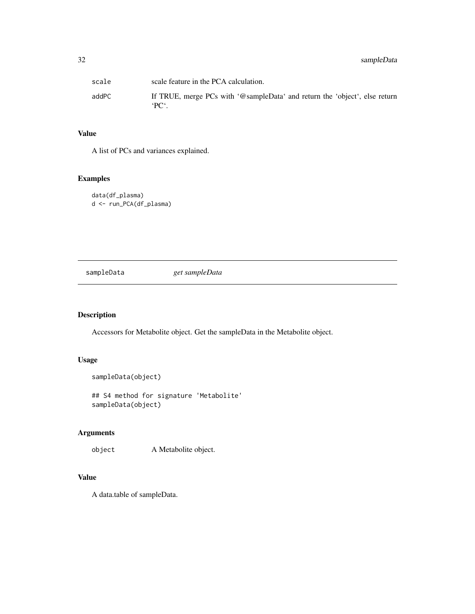<span id="page-31-0"></span>

| scale | scale feature in the PCA calculation.                                                         |
|-------|-----------------------------------------------------------------------------------------------|
| addPC | If TRUE, merge PCs with '@sampleData' and return the 'object', else return<br>$PC^{\prime}$ . |

# Value

A list of PCs and variances explained.

# Examples

```
data(df_plasma)
d <- run_PCA(df_plasma)
```
sampleData *get sampleData*

#### Description

Accessors for Metabolite object. Get the sampleData in the Metabolite object.

#### Usage

```
sampleData(object)
```
## S4 method for signature 'Metabolite' sampleData(object)

# Arguments

object A Metabolite object.

# Value

A data.table of sampleData.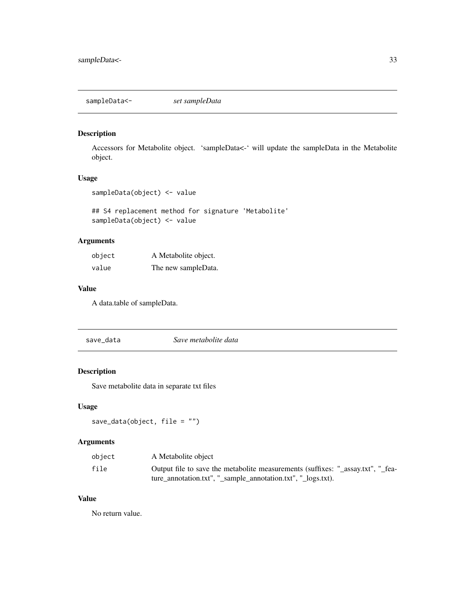<span id="page-32-0"></span>sampleData<- *set sampleData*

#### Description

Accessors for Metabolite object. 'sampleData<-' will update the sampleData in the Metabolite object.

#### Usage

```
sampleData(object) <- value
```
## S4 replacement method for signature 'Metabolite' sampleData(object) <- value

# Arguments

| object | A Metabolite object. |
|--------|----------------------|
| value  | The new sampleData.  |

#### Value

A data.table of sampleData.

| save_data | Save metabolite data |  |
|-----------|----------------------|--|
|           |                      |  |

# Description

Save metabolite data in separate txt files

#### Usage

```
save_data(object, file = "")
```
# Arguments

| object | A Metabolite object                                                                                                                             |
|--------|-------------------------------------------------------------------------------------------------------------------------------------------------|
| file   | Output file to save the metabolite measurements (suffixes: "_assay.txt", "_fea-<br>ture_annotation.txt", "_sample_annotation.txt", "_logs.txt). |

# Value

No return value.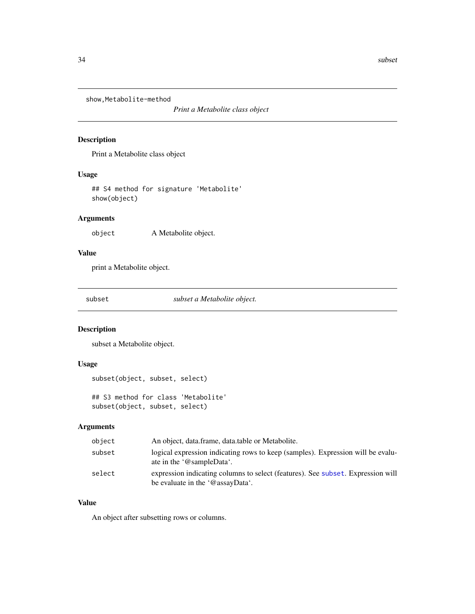<span id="page-33-0"></span>show, Metabolite-method

*Print a Metabolite class object*

#### Description

Print a Metabolite class object

#### Usage

## S4 method for signature 'Metabolite' show(object)

#### Arguments

object A Metabolite object.

# Value

print a Metabolite object.

<span id="page-33-1"></span>subset *subset a Metabolite object.*

#### Description

subset a Metabolite object.

#### Usage

```
subset(object, subset, select)
## S3 method for class 'Metabolite'
subset(object, subset, select)
```
#### Arguments

| object | An object, data.frame, data.table or Metabolite.                                                                    |
|--------|---------------------------------------------------------------------------------------------------------------------|
| subset | logical expression indicating rows to keep (samples). Expression will be evalu-<br>ate in the '@sampleData'.        |
| select | expression indicating columns to select (features). See subset. Expression will<br>be evaluate in the '@assayData'. |

#### Value

An object after subsetting rows or columns.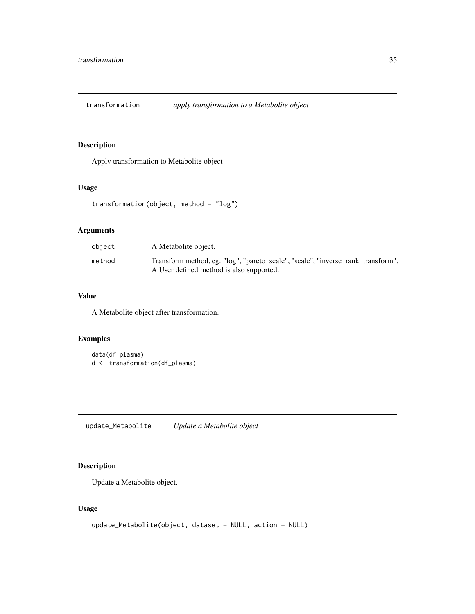<span id="page-34-0"></span>transformation *apply transformation to a Metabolite object*

# Description

Apply transformation to Metabolite object

# Usage

transformation(object, method = "log")

# Arguments

| object | A Metabolite object.                                                                                                        |
|--------|-----------------------------------------------------------------------------------------------------------------------------|
| method | Transform method, eg. "log", "pareto_scale", "scale", "inverse_rank_transform".<br>A User defined method is also supported. |

#### Value

A Metabolite object after transformation.

# Examples

```
data(df_plasma)
d <- transformation(df_plasma)
```
update\_Metabolite *Update a Metabolite object*

# Description

Update a Metabolite object.

#### Usage

```
update_Metabolite(object, dataset = NULL, action = NULL)
```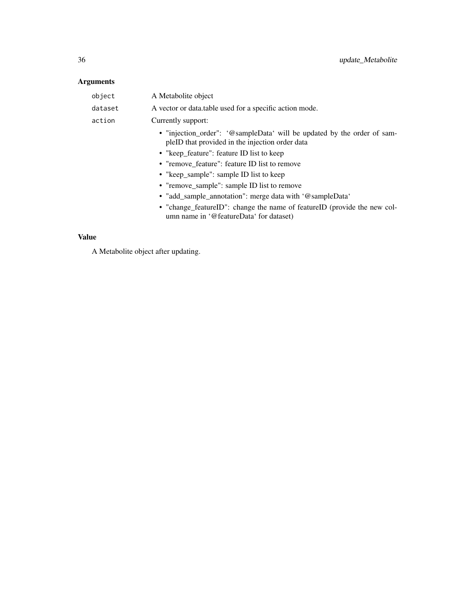# Arguments

| object  | A Metabolite object                                                                                                                                                                                                                                                                                                                                                                                                                                                                                   |
|---------|-------------------------------------------------------------------------------------------------------------------------------------------------------------------------------------------------------------------------------------------------------------------------------------------------------------------------------------------------------------------------------------------------------------------------------------------------------------------------------------------------------|
| dataset | A vector or data table used for a specific action mode.                                                                                                                                                                                                                                                                                                                                                                                                                                               |
| action  | Currently support:                                                                                                                                                                                                                                                                                                                                                                                                                                                                                    |
|         | • "injection_order": '@sampleData' will be updated by the order of sam-<br>pleID that provided in the injection order data<br>• "keep feature": feature ID list to keep<br>• "remove_feature": feature ID list to remove<br>• "keep_sample": sample ID list to keep<br>• "remove_sample": sample ID list to remove<br>• "add_sample_annotation": merge data with '@sampleData'<br>• "change_featureID": change the name of featureID (provide the new col-<br>umn name in '@featureData' for dataset) |
|         |                                                                                                                                                                                                                                                                                                                                                                                                                                                                                                       |

# Value

A Metabolite object after updating.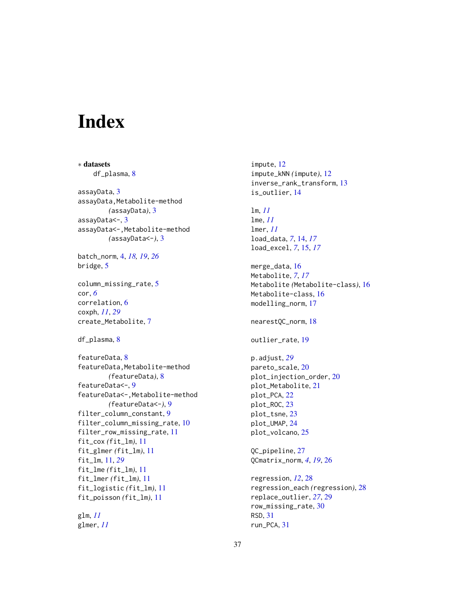# <span id="page-36-0"></span>Index

∗ datasets df\_plasma, [8](#page-7-0) assayData, [3](#page-2-0) assayData,Metabolite-method *(*assayData*)*, [3](#page-2-0) assayData<-, [3](#page-2-0) assayData<-,Metabolite-method *(*assayData<-*)*, [3](#page-2-0) batch\_norm, [4,](#page-3-0) *[18,](#page-17-0) [19](#page-18-0)*, *[26](#page-25-0)* bridge, [5](#page-4-0) column\_missing\_rate, [5](#page-4-0) cor, *[6](#page-5-0)* correlation, [6](#page-5-0) coxph, *[11](#page-10-0)*, *[29](#page-28-0)* create\_Metabolite, [7](#page-6-0) df\_plasma, [8](#page-7-0) featureData, [8](#page-7-0) featureData,Metabolite-method *(*featureData*)*, [8](#page-7-0) featureData<-, [9](#page-8-0) featureData<-,Metabolite-method *(*featureData<-*)*, [9](#page-8-0) filter\_column\_constant, [9](#page-8-0) filter\_column\_missing\_rate, [10](#page-9-0) filter\_row\_missing\_rate, [11](#page-10-0) fit\_cox *(*fit\_lm*)*, [11](#page-10-0) fit\_glmer *(*fit\_lm*)*, [11](#page-10-0) fit\_lm, [11,](#page-10-0) *[29](#page-28-0)* fit\_lme *(*fit\_lm*)*, [11](#page-10-0) fit\_lmer *(*fit\_lm*)*, [11](#page-10-0) fit\_logistic *(*fit\_lm*)*, [11](#page-10-0) fit\_poisson *(*fit\_lm*)*, [11](#page-10-0) glm, *[11](#page-10-0)*

glmer, *[11](#page-10-0)*

impute, [12](#page-11-0) impute\_kNN *(*impute*)*, [12](#page-11-0) inverse\_rank\_transform, [13](#page-12-0) is\_outlier, [14](#page-13-0) lm, *[11](#page-10-0)* lme, *[11](#page-10-0)* lmer, *[11](#page-10-0)* load\_data, *[7](#page-6-0)*, [14,](#page-13-0) *[17](#page-16-0)* load\_excel, *[7](#page-6-0)*, [15,](#page-14-0) *[17](#page-16-0)* merge\_data, [16](#page-15-0) Metabolite, *[7](#page-6-0)*, *[17](#page-16-0)* Metabolite *(*Metabolite-class*)*, [16](#page-15-0) Metabolite-class, [16](#page-15-0) modelling\_norm, [17](#page-16-0) nearestQC\_norm, [18](#page-17-0) outlier\_rate, [19](#page-18-0) p.adjust, *[29](#page-28-0)* pareto\_scale, [20](#page-19-0) plot\_injection\_order, [20](#page-19-0) plot\_Metabolite, [21](#page-20-0) plot\_PCA, [22](#page-21-0) plot\_ROC, [23](#page-22-0) plot\_tsne, [23](#page-22-0) plot\_UMAP, [24](#page-23-0) plot\_volcano, [25](#page-24-0) QC\_pipeline, [27](#page-26-0) QCmatrix\_norm, *[4](#page-3-0)*, *[19](#page-18-0)*, [26](#page-25-0) regression, *[12](#page-11-0)*, [28](#page-27-0) regression\_each *(*regression*)*, [28](#page-27-0) replace\_outlier, *[27](#page-26-0)*, [29](#page-28-0) row\_missing\_rate, [30](#page-29-0) RSD, [31](#page-30-0) run\_PCA, [31](#page-30-0)